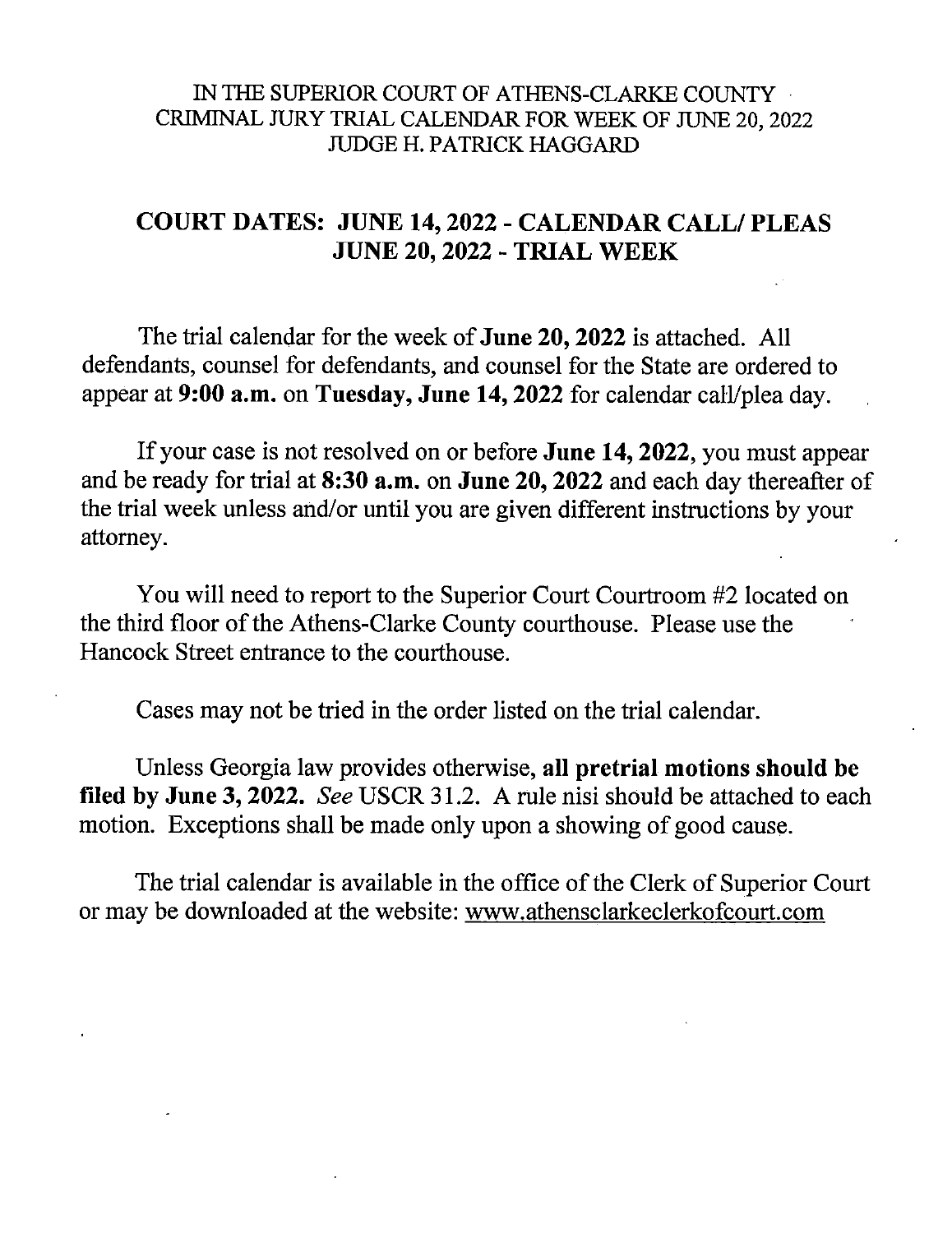## IN THE SUPERIOR COURT OF ATHENS-CLARKE COUNTY CRIMINAL JURY TRIAL CALENDAR FOR WEEK OF JUNE 20, 2022 JUDGE H. PATRICK HAGGARD

# **COURT DATES: JUNE 14, 2022 - CALENDAR CALL/ PLEAS JUNE 20, 2022 - TRIAL WEEK**

The trial calendar for the week of **June 20, 2022** is attached. All defendants, counsel for defendants, and counsel for the State are ordered to appear at 9:00 a.m. on Tuesday, June 14, 2022 for calendar call/plea day.

If your case is not resolved on or before June 14, 2022, you must appear and be ready for trial at 8:30 a.m. on June 20, 2022 and each day thereafter of the trial week unless and/or until you are given different instructions by your attorney.

You will need to report to the Superior Court Courtroom #2 located on the third floor of the Athens-Clarke County courthouse. Please use the Hancock Street entrance to the courthouse.

Cases may not be tried in the order listed on the trial calendar.

Unless Georgia law provides otherwise, all pretrial motions should be filed by June 3, 2022. See USCR 31.2. A rule nisi should be attached to each motion. Exceptions shall be made only upon a showing of good cause.

The trial calendar is available in the office of the Clerk of Superior Court or may be downloaded at the website: www.athensclarkeclerkofcourt.com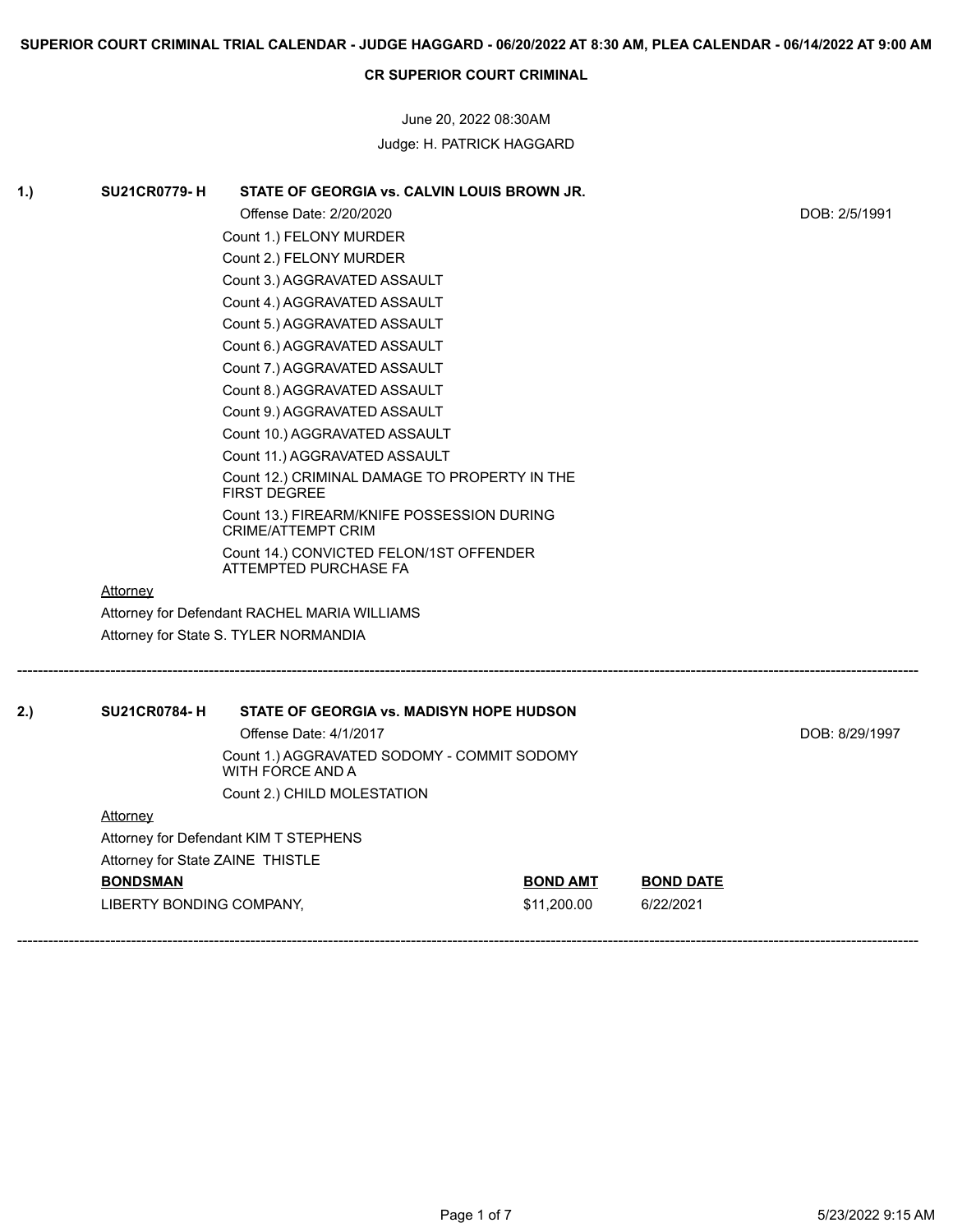June 20, 2022 08:30AM Judge: H. PATRICK HAGGARD

| 1.) | <b>SU21CR0779-H</b>              | STATE OF GEORGIA vs. CALVIN LOUIS BROWN JR.                          |                 |                  |               |  |
|-----|----------------------------------|----------------------------------------------------------------------|-----------------|------------------|---------------|--|
|     |                                  | Offense Date: 2/20/2020                                              |                 |                  | DOB: 2/5/1991 |  |
|     |                                  | Count 1.) FELONY MURDER                                              |                 |                  |               |  |
|     |                                  | Count 2.) FELONY MURDER                                              |                 |                  |               |  |
|     |                                  | Count 3.) AGGRAVATED ASSAULT                                         |                 |                  |               |  |
|     |                                  | Count 4.) AGGRAVATED ASSAULT                                         |                 |                  |               |  |
|     |                                  | Count 5.) AGGRAVATED ASSAULT                                         |                 |                  |               |  |
|     |                                  | Count 6.) AGGRAVATED ASSAULT                                         |                 |                  |               |  |
|     |                                  | Count 7.) AGGRAVATED ASSAULT                                         |                 |                  |               |  |
|     |                                  | Count 8.) AGGRAVATED ASSAULT                                         |                 |                  |               |  |
|     |                                  | Count 9.) AGGRAVATED ASSAULT                                         |                 |                  |               |  |
|     |                                  | Count 10.) AGGRAVATED ASSAULT                                        |                 |                  |               |  |
|     |                                  | Count 11.) AGGRAVATED ASSAULT                                        |                 |                  |               |  |
|     |                                  | Count 12.) CRIMINAL DAMAGE TO PROPERTY IN THE<br><b>FIRST DEGREE</b> |                 |                  |               |  |
|     |                                  | Count 13.) FIREARM/KNIFE POSSESSION DURING<br>CRIME/ATTEMPT CRIM     |                 |                  |               |  |
|     |                                  | Count 14.) CONVICTED FELON/1ST OFFENDER<br>ATTEMPTED PURCHASE FA     |                 |                  |               |  |
|     | Attorney                         |                                                                      |                 |                  |               |  |
|     |                                  | Attorney for Defendant RACHEL MARIA WILLIAMS                         |                 |                  |               |  |
|     |                                  | Attorney for State S. TYLER NORMANDIA                                |                 |                  |               |  |
| 2.) | <b>SU21CR0784-H</b>              | <b>STATE OF GEORGIA vs. MADISYN HOPE HUDSON</b>                      |                 |                  |               |  |
|     |                                  | Offense Date: 4/1/2017                                               |                 |                  |               |  |
|     |                                  | Count 1.) AGGRAVATED SODOMY - COMMIT SODOMY<br>WITH FORCE AND A      |                 |                  |               |  |
|     |                                  | Count 2.) CHILD MOLESTATION                                          |                 |                  |               |  |
|     | <b>Attorney</b>                  |                                                                      |                 |                  |               |  |
|     |                                  | Attorney for Defendant KIM T STEPHENS                                |                 |                  |               |  |
|     | Attorney for State ZAINE THISTLE |                                                                      |                 |                  |               |  |
|     | <b>BONDSMAN</b>                  |                                                                      | <b>BOND AMT</b> | <b>BOND DATE</b> |               |  |
|     | LIBERTY BONDING COMPANY,         |                                                                      | \$11,200.00     | 6/22/2021        |               |  |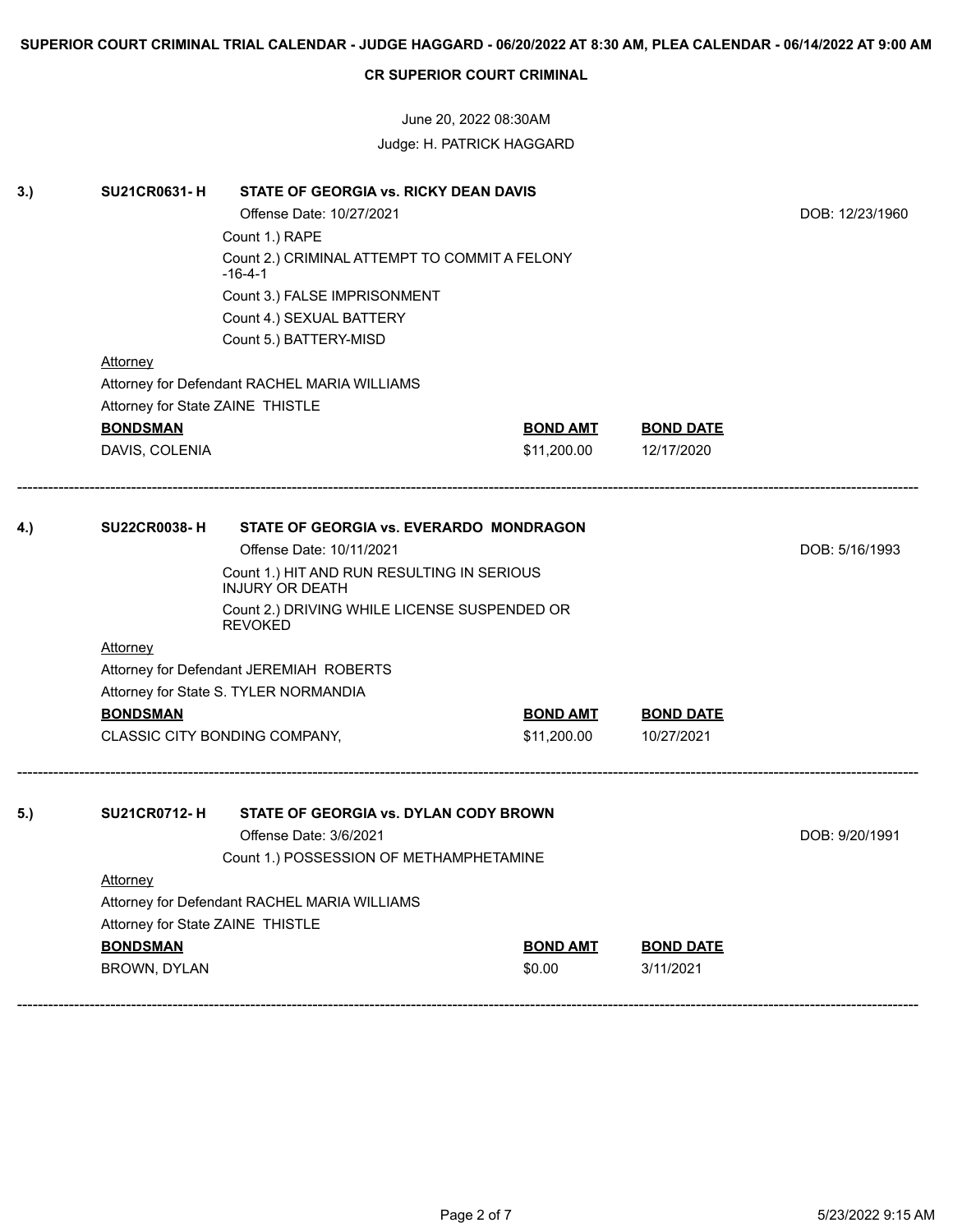June 20, 2022 08:30AM Judge: H. PATRICK HAGGARD

| 3.) | <b>SU21CR0631-H</b><br><b>Attorney</b>       | STATE OF GEORGIA vs. RICKY DEAN DAVIS<br>Offense Date: 10/27/2021<br>Count 1.) RAPE<br>Count 2.) CRIMINAL ATTEMPT TO COMMIT A FELONY<br>-16-4-1<br>Count 3.) FALSE IMPRISONMENT<br>Count 4.) SEXUAL BATTERY<br>Count 5.) BATTERY-MISD<br>Attorney for Defendant RACHEL MARIA WILLIAMS |                 |                  | DOB: 12/23/1960 |  |
|-----|----------------------------------------------|---------------------------------------------------------------------------------------------------------------------------------------------------------------------------------------------------------------------------------------------------------------------------------------|-----------------|------------------|-----------------|--|
|     | Attorney for State ZAINE THISTLE             |                                                                                                                                                                                                                                                                                       |                 |                  |                 |  |
|     | <b>BONDSMAN</b>                              |                                                                                                                                                                                                                                                                                       | <b>BOND AMT</b> | <b>BOND DATE</b> |                 |  |
|     | DAVIS, COLENIA                               |                                                                                                                                                                                                                                                                                       | \$11,200.00     | 12/17/2020       |                 |  |
| 4.) | <b>SU22CR0038-H</b>                          | DOB: 5/16/1993                                                                                                                                                                                                                                                                        |                 |                  |                 |  |
|     |                                              |                                                                                                                                                                                                                                                                                       |                 |                  |                 |  |
|     |                                              |                                                                                                                                                                                                                                                                                       |                 |                  |                 |  |
|     | <b>Attorney</b>                              |                                                                                                                                                                                                                                                                                       |                 |                  |                 |  |
|     | Attorney for Defendant JEREMIAH ROBERTS      |                                                                                                                                                                                                                                                                                       |                 |                  |                 |  |
|     | Attorney for State S. TYLER NORMANDIA        |                                                                                                                                                                                                                                                                                       |                 |                  |                 |  |
|     | <b>BONDSMAN</b>                              |                                                                                                                                                                                                                                                                                       | <b>BOND AMT</b> | <b>BOND DATE</b> |                 |  |
|     |                                              | CLASSIC CITY BONDING COMPANY,                                                                                                                                                                                                                                                         | \$11,200.00     | 10/27/2021       |                 |  |
| 5.) | <b>SU21CR0712-H</b>                          | DOB: 9/20/1991                                                                                                                                                                                                                                                                        |                 |                  |                 |  |
|     | <b>Attorney</b>                              |                                                                                                                                                                                                                                                                                       |                 |                  |                 |  |
|     | Attorney for Defendant RACHEL MARIA WILLIAMS |                                                                                                                                                                                                                                                                                       |                 |                  |                 |  |
|     | Attorney for State ZAINE THISTLE             |                                                                                                                                                                                                                                                                                       |                 |                  |                 |  |
|     | <b>BONDSMAN</b>                              |                                                                                                                                                                                                                                                                                       | <b>BOND AMT</b> | <b>BOND DATE</b> |                 |  |
|     | BROWN, DYLAN                                 |                                                                                                                                                                                                                                                                                       | \$0.00          | 3/11/2021        |                 |  |
|     |                                              |                                                                                                                                                                                                                                                                                       |                 |                  |                 |  |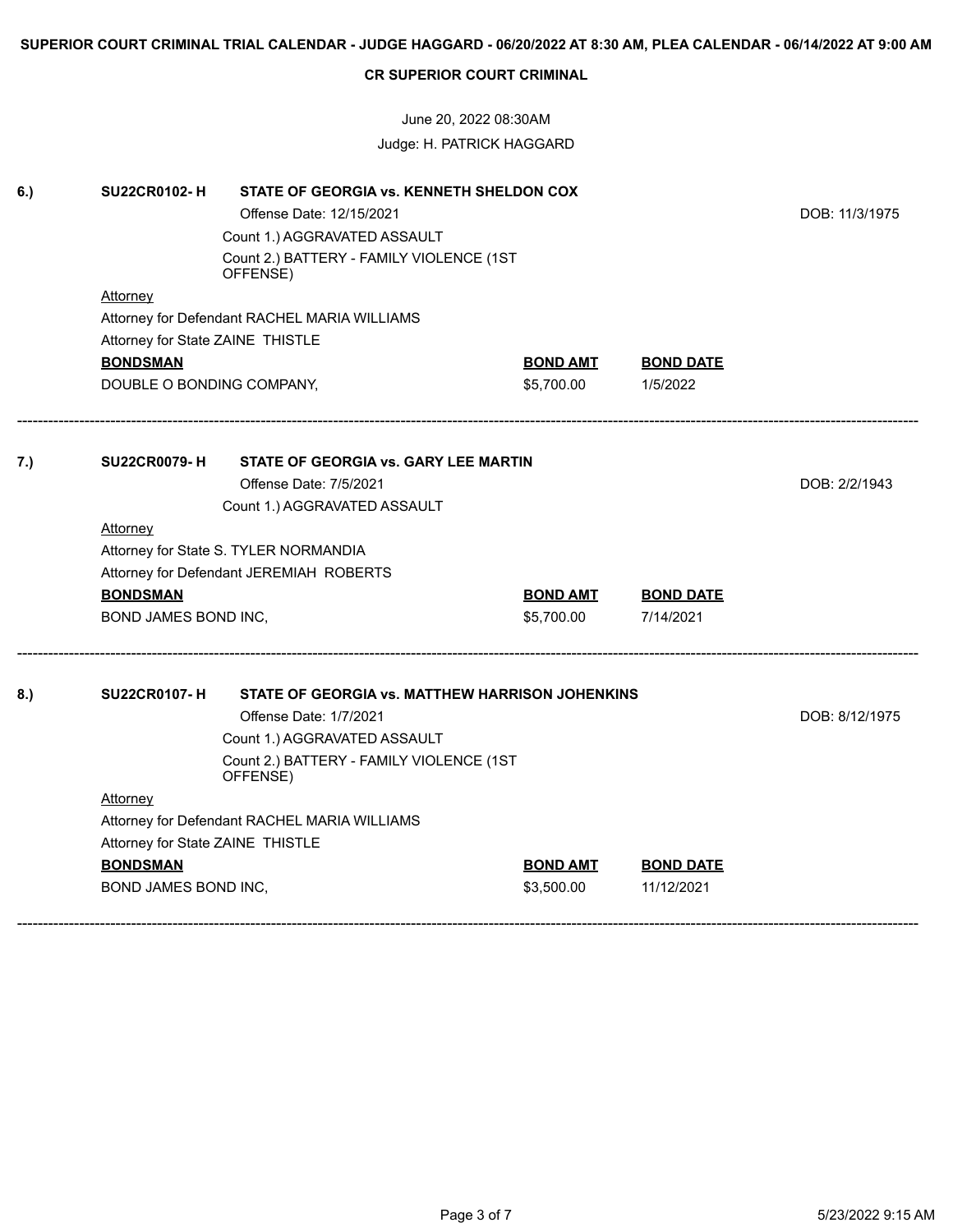June 20, 2022 08:30AM Judge: H. PATRICK HAGGARD

| 6.) | <b>SU22CR0102-H</b>                          |                                                 |                 |                  |                |
|-----|----------------------------------------------|-------------------------------------------------|-----------------|------------------|----------------|
|     |                                              | DOB: 11/3/1975                                  |                 |                  |                |
|     |                                              |                                                 |                 |                  |                |
|     |                                              |                                                 |                 |                  |                |
|     | Attorney                                     |                                                 |                 |                  |                |
|     |                                              | Attorney for Defendant RACHEL MARIA WILLIAMS    |                 |                  |                |
|     | Attorney for State ZAINE THISTLE             |                                                 |                 |                  |                |
|     | <b>BONDSMAN</b>                              |                                                 | <u>BOND AMT</u> | <b>BOND DATE</b> |                |
|     | DOUBLE O BONDING COMPANY,                    |                                                 | \$5,700.00      | 1/5/2022         |                |
| 7.) | <b>SU22CR0079-H</b>                          |                                                 |                 |                  |                |
|     |                                              | DOB: 2/2/1943                                   |                 |                  |                |
|     |                                              |                                                 |                 |                  |                |
|     | <b>Attorney</b>                              | Count 1.) AGGRAVATED ASSAULT                    |                 |                  |                |
|     | Attorney for State S. TYLER NORMANDIA        |                                                 |                 |                  |                |
|     | Attorney for Defendant JEREMIAH ROBERTS      |                                                 |                 |                  |                |
|     | <b>BONDSMAN</b>                              |                                                 | <b>BOND AMT</b> | <b>BOND DATE</b> |                |
|     | BOND JAMES BOND INC,                         |                                                 | \$5,700.00      | 7/14/2021        |                |
| 8.) | <b>SU22CR0107-H</b>                          | STATE OF GEORGIA vs. MATTHEW HARRISON JOHENKINS |                 |                  |                |
|     |                                              | Offense Date: 1/7/2021                          |                 |                  | DOB: 8/12/1975 |
|     | Count 1.) AGGRAVATED ASSAULT                 |                                                 |                 |                  |                |
|     |                                              |                                                 |                 |                  |                |
|     | Attorney                                     |                                                 |                 |                  |                |
|     | Attorney for Defendant RACHEL MARIA WILLIAMS |                                                 |                 |                  |                |
|     | Attorney for State ZAINE THISTLE             |                                                 |                 |                  |                |
|     | <b>BONDSMAN</b>                              |                                                 | <b>BOND AMT</b> | <b>BOND DATE</b> |                |
|     | BOND JAMES BOND INC,                         |                                                 | \$3,500.00      | 11/12/2021       |                |
|     |                                              |                                                 |                 |                  |                |
|     |                                              |                                                 |                 |                  |                |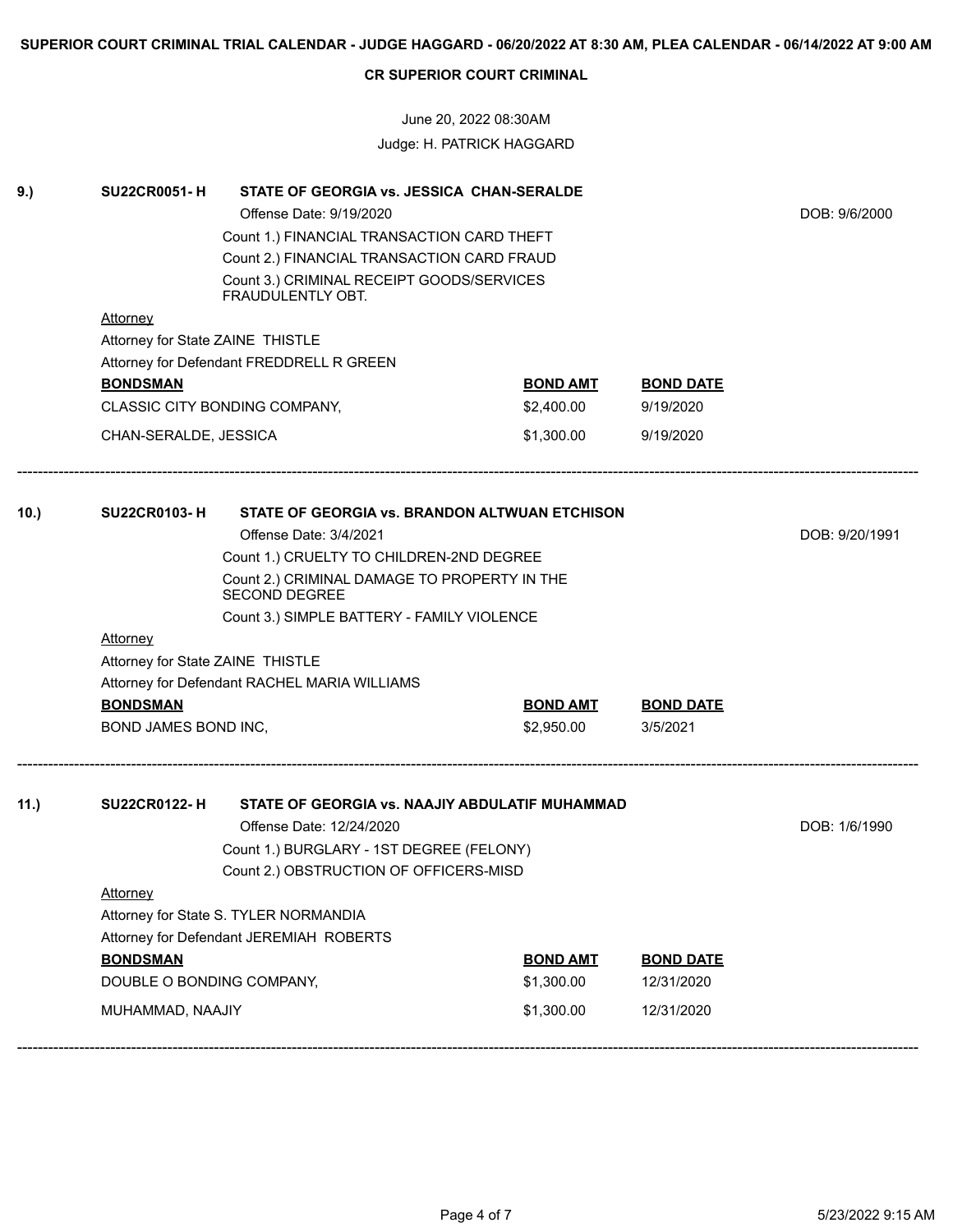June 20, 2022 08:30AM Judge: H. PATRICK HAGGARD

| 9.)  | <b>SU22CR0051-H</b>                          |                                                |                 |                  |               |
|------|----------------------------------------------|------------------------------------------------|-----------------|------------------|---------------|
|      |                                              | DOB: 9/6/2000                                  |                 |                  |               |
|      |                                              |                                                |                 |                  |               |
|      |                                              | Count 2.) FINANCIAL TRANSACTION CARD FRAUD     |                 |                  |               |
|      |                                              |                                                |                 |                  |               |
|      | <b>Attorney</b>                              |                                                |                 |                  |               |
|      | Attorney for State ZAINE THISTLE             |                                                |                 |                  |               |
|      |                                              | Attorney for Defendant FREDDRELL R GREEN       |                 |                  |               |
|      | <b>BONDSMAN</b>                              |                                                | <b>BOND AMT</b> | <b>BOND DATE</b> |               |
|      |                                              | CLASSIC CITY BONDING COMPANY,                  | \$2,400.00      | 9/19/2020        |               |
|      | CHAN-SERALDE, JESSICA                        |                                                | \$1,300.00      | 9/19/2020        |               |
| 10.  | <b>SU22CR0103-H</b>                          | STATE OF GEORGIA vs. BRANDON ALTWUAN ETCHISON  |                 |                  |               |
|      |                                              | DOB: 9/20/1991                                 |                 |                  |               |
|      |                                              |                                                |                 |                  |               |
|      |                                              |                                                |                 |                  |               |
|      |                                              |                                                |                 |                  |               |
|      |                                              |                                                |                 |                  |               |
|      | <b>Attorney</b>                              |                                                |                 |                  |               |
|      | Attorney for State ZAINE THISTLE             |                                                |                 |                  |               |
|      | Attorney for Defendant RACHEL MARIA WILLIAMS |                                                |                 |                  |               |
|      | <b>BONDSMAN</b>                              |                                                | <b>BOND AMT</b> | <b>BOND DATE</b> |               |
|      | BOND JAMES BOND INC,                         |                                                | \$2,950.00      | 3/5/2021         |               |
| 11.) | <b>SU22CR0122-H</b>                          | STATE OF GEORGIA vs. NAAJIY ABDULATIF MUHAMMAD |                 |                  |               |
|      |                                              | Offense Date: 12/24/2020                       |                 |                  | DOB: 1/6/1990 |
|      |                                              |                                                |                 |                  |               |
|      |                                              |                                                |                 |                  |               |
|      | <b>Attorney</b>                              |                                                |                 |                  |               |
|      | Attorney for State S. TYLER NORMANDIA        |                                                |                 |                  |               |
|      | Attorney for Defendant JEREMIAH ROBERTS      |                                                |                 |                  |               |
|      | <b>BONDSMAN</b>                              |                                                | <b>BOND AMT</b> | <b>BOND DATE</b> |               |
|      | DOUBLE O BONDING COMPANY,                    |                                                | \$1,300.00      | 12/31/2020       |               |
|      | MUHAMMAD, NAAJIY                             |                                                | \$1,300.00      | 12/31/2020       |               |
|      |                                              |                                                |                 |                  |               |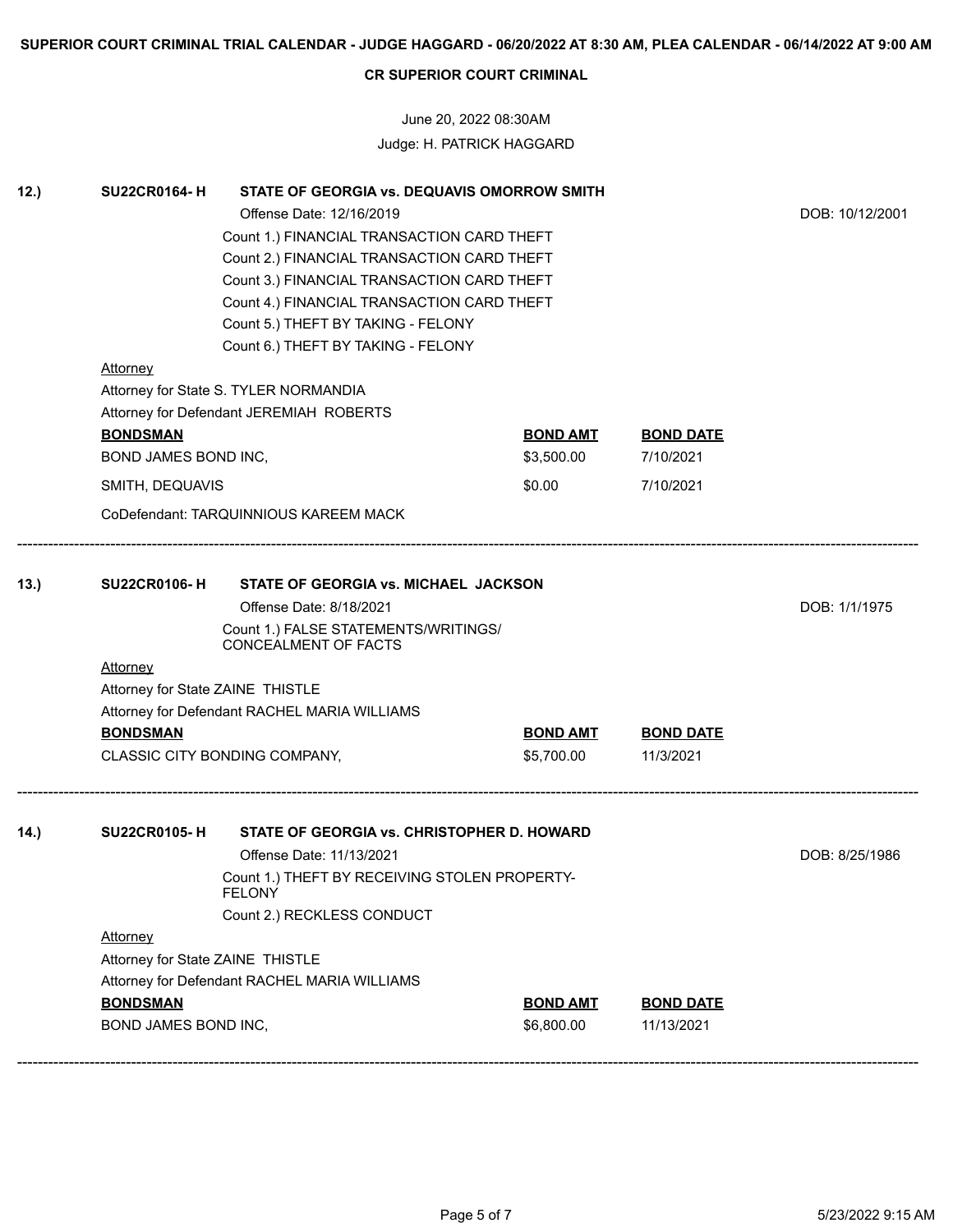June 20, 2022 08:30AM Judge: H. PATRICK HAGGARD

| 12.) | <b>SU22CR0164-H</b>                          | STATE OF GEORGIA vs. DEQUAVIS OMORROW SMITH                               |                               |                  |                |  |  |
|------|----------------------------------------------|---------------------------------------------------------------------------|-------------------------------|------------------|----------------|--|--|
|      |                                              | DOB: 10/12/2001                                                           |                               |                  |                |  |  |
|      |                                              |                                                                           |                               |                  |                |  |  |
|      |                                              |                                                                           |                               |                  |                |  |  |
|      |                                              |                                                                           |                               |                  |                |  |  |
|      |                                              |                                                                           |                               |                  |                |  |  |
|      |                                              |                                                                           |                               |                  |                |  |  |
|      |                                              |                                                                           |                               |                  |                |  |  |
|      | <b>Attorney</b>                              |                                                                           |                               |                  |                |  |  |
|      |                                              | Attorney for State S. TYLER NORMANDIA                                     |                               |                  |                |  |  |
|      |                                              | Attorney for Defendant JEREMIAH ROBERTS                                   |                               |                  |                |  |  |
|      | <b>BONDSMAN</b>                              |                                                                           | <b>BOND AMT</b>               | <b>BOND DATE</b> |                |  |  |
|      | BOND JAMES BOND INC,                         |                                                                           | \$3,500.00                    | 7/10/2021        |                |  |  |
|      | SMITH, DEQUAVIS                              |                                                                           | \$0.00                        | 7/10/2021        |                |  |  |
|      |                                              | CoDefendant: TARQUINNIOUS KAREEM MACK                                     |                               |                  |                |  |  |
| 13.) | <b>SU22CR0106-H</b>                          |                                                                           |                               |                  |                |  |  |
|      |                                              | DOB: 1/1/1975                                                             |                               |                  |                |  |  |
|      |                                              |                                                                           |                               |                  |                |  |  |
|      | <b>Attorney</b>                              |                                                                           |                               |                  |                |  |  |
|      | Attorney for State ZAINE THISTLE             |                                                                           |                               |                  |                |  |  |
|      |                                              | Attorney for Defendant RACHEL MARIA WILLIAMS                              |                               |                  |                |  |  |
|      | <b>BONDSMAN</b>                              |                                                                           | <b>BOND AMT</b>               | <b>BOND DATE</b> |                |  |  |
|      |                                              | CLASSIC CITY BONDING COMPANY,                                             | \$5,700.00                    | 11/3/2021        |                |  |  |
| 14.) | <b>SU22CR0105-H</b>                          | STATE OF GEORGIA vs. CHRISTOPHER D. HOWARD                                |                               |                  |                |  |  |
|      |                                              |                                                                           |                               |                  | DOB: 8/25/1986 |  |  |
|      |                                              | Offense Date: 11/13/2021<br>Count 1.) THEFT BY RECEIVING STOLEN PROPERTY- |                               |                  |                |  |  |
|      |                                              |                                                                           |                               |                  |                |  |  |
|      |                                              | Count 2.) RECKLESS CONDUCT                                                |                               |                  |                |  |  |
|      | <b>Attorney</b>                              |                                                                           |                               |                  |                |  |  |
|      |                                              | Attorney for State ZAINE THISTLE                                          |                               |                  |                |  |  |
|      | Attorney for Defendant RACHEL MARIA WILLIAMS |                                                                           |                               |                  |                |  |  |
|      | <b>BONDSMAN</b>                              |                                                                           | <b>BOND AMT</b><br>\$6,800.00 | <b>BOND DATE</b> |                |  |  |
|      | BOND JAMES BOND INC,                         |                                                                           |                               |                  |                |  |  |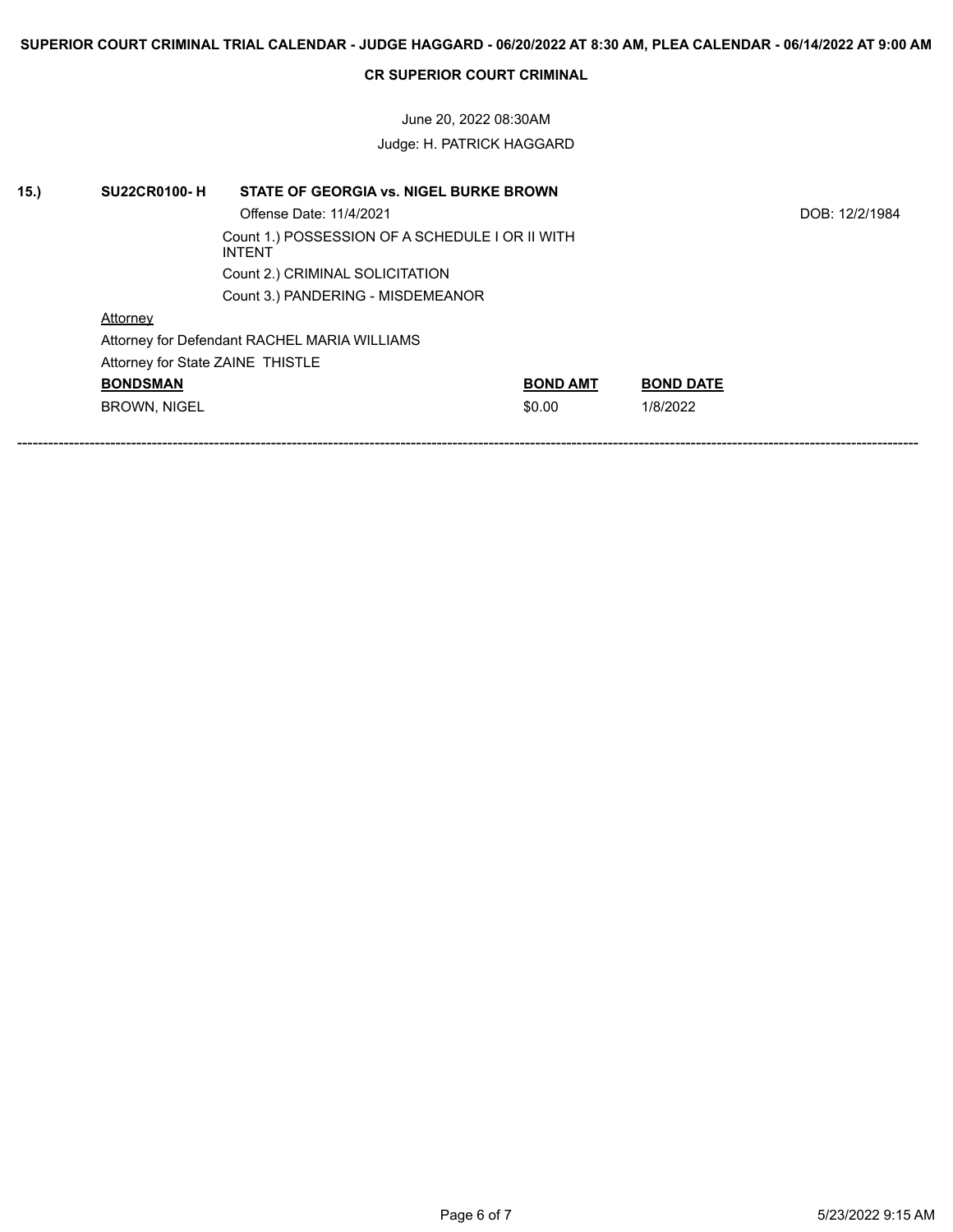June 20, 2022 08:30AM Judge: H. PATRICK HAGGARD

| 15.) | <b>SU22CR0100-H</b>              | STATE OF GEORGIA vs. NIGEL BURKE BROWN                           |                 |                  |                |  |  |
|------|----------------------------------|------------------------------------------------------------------|-----------------|------------------|----------------|--|--|
|      |                                  | Offense Date: 11/4/2021                                          |                 |                  | DOB: 12/2/1984 |  |  |
|      |                                  | Count 1.) POSSESSION OF A SCHEDULE I OR II WITH<br><b>INTENT</b> |                 |                  |                |  |  |
|      |                                  | Count 2.) CRIMINAL SOLICITATION                                  |                 |                  |                |  |  |
|      |                                  | Count 3.) PANDERING - MISDEMEANOR                                |                 |                  |                |  |  |
|      | Attorney                         |                                                                  |                 |                  |                |  |  |
|      |                                  | Attorney for Defendant RACHEL MARIA WILLIAMS                     |                 |                  |                |  |  |
|      | Attorney for State ZAINE THISTLE |                                                                  |                 |                  |                |  |  |
|      | <b>BONDSMAN</b>                  |                                                                  | <b>BOND AMT</b> | <b>BOND DATE</b> |                |  |  |
|      | <b>BROWN, NIGEL</b>              |                                                                  | \$0.00          | 1/8/2022         |                |  |  |
|      |                                  |                                                                  |                 |                  |                |  |  |
|      |                                  |                                                                  |                 |                  |                |  |  |